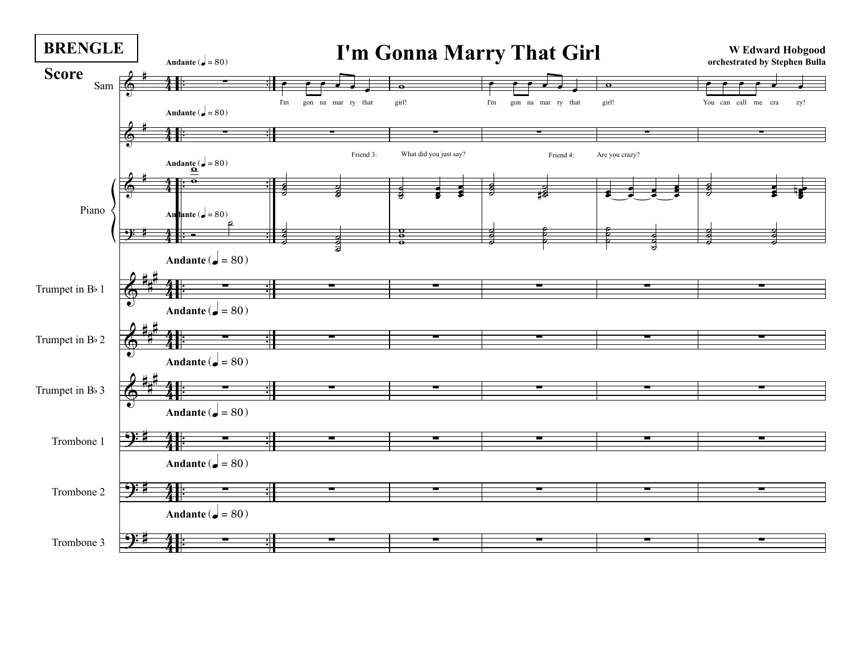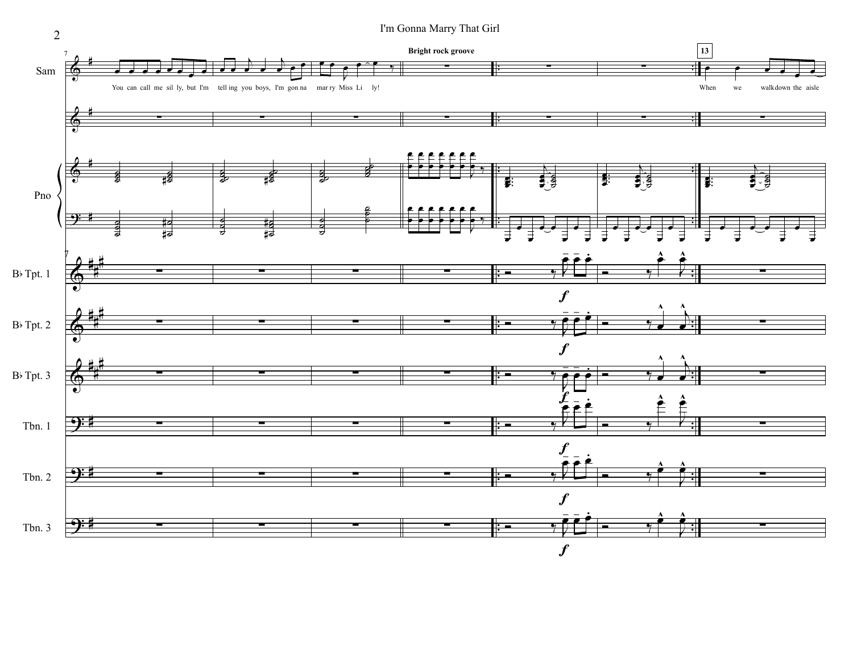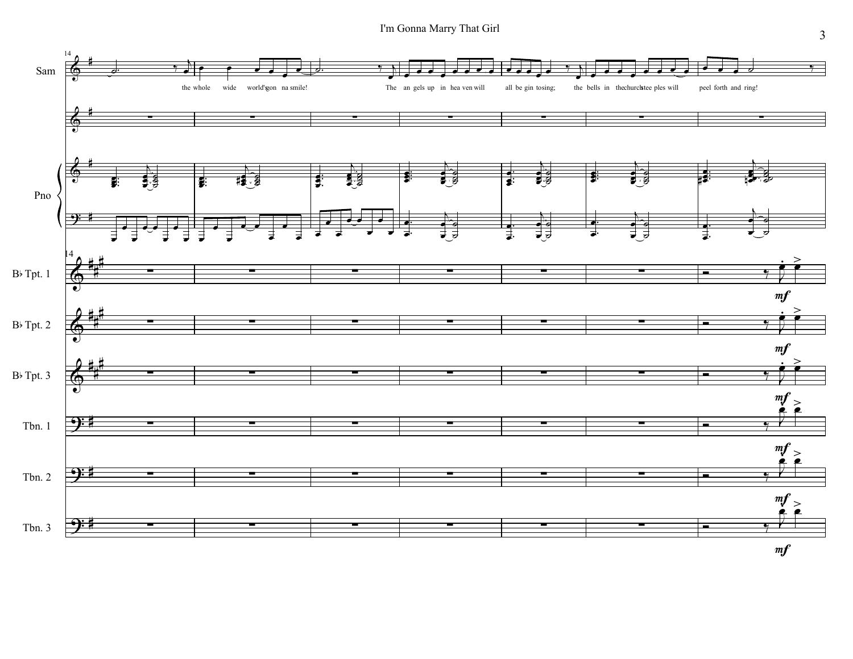I'm Gonna Marry That Girl

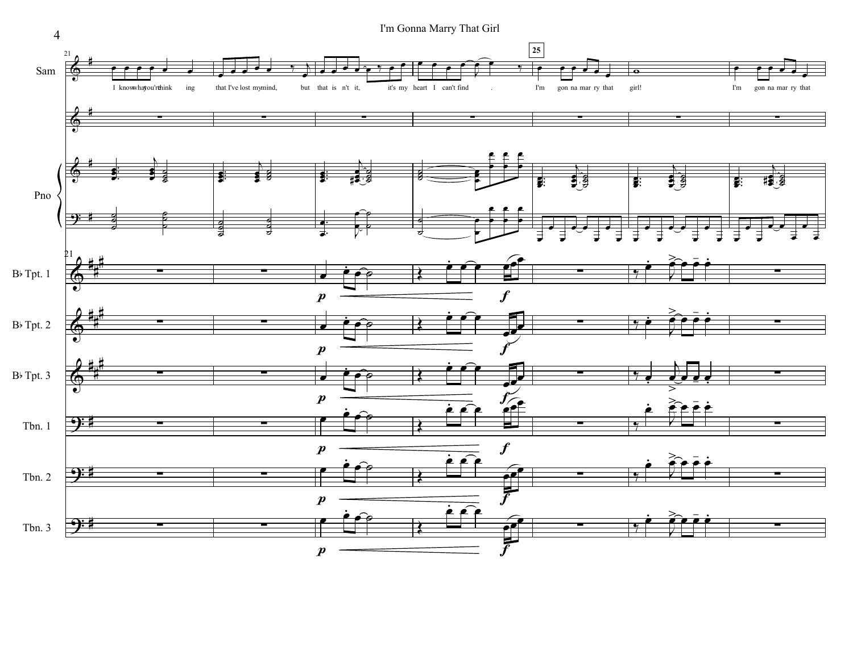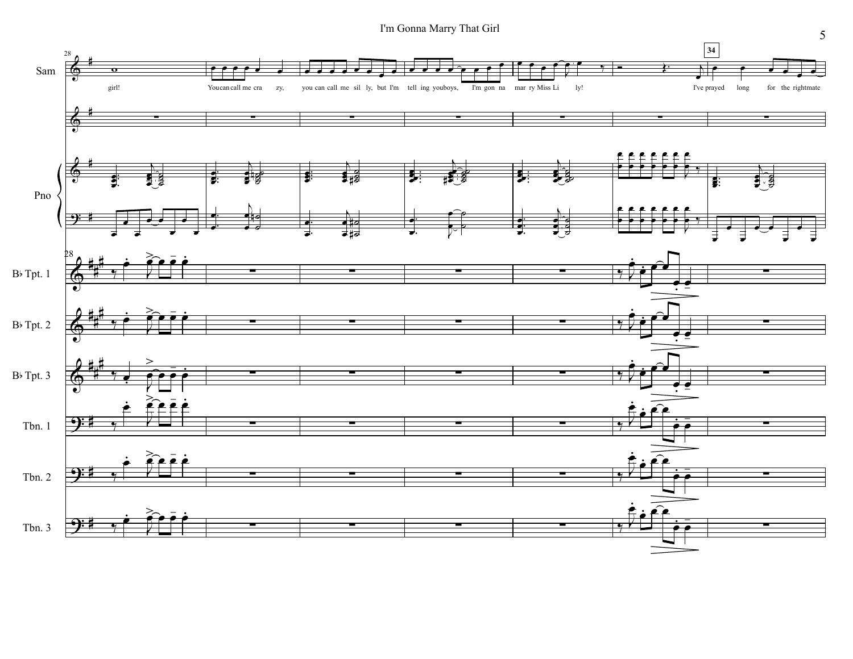

 $\mathfrak{S}$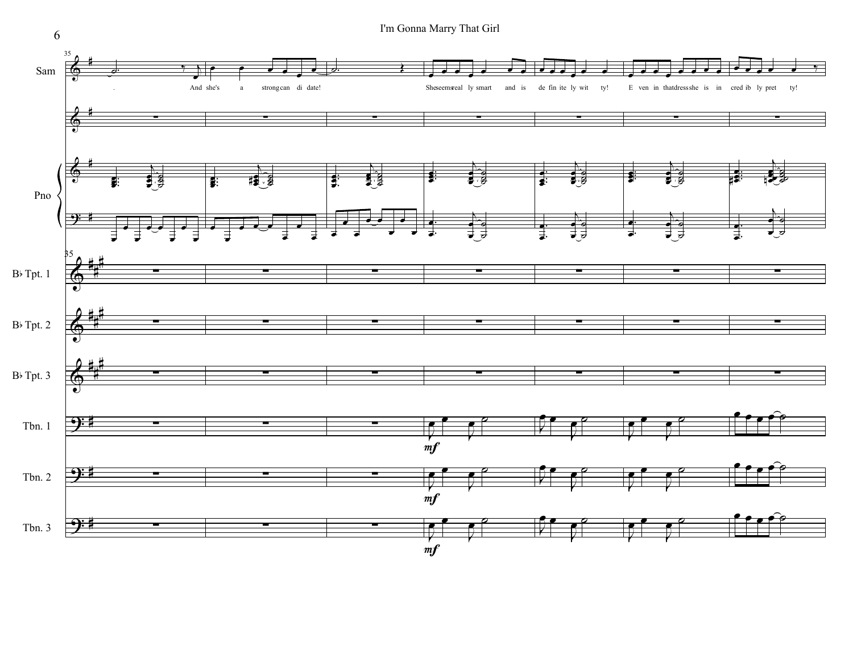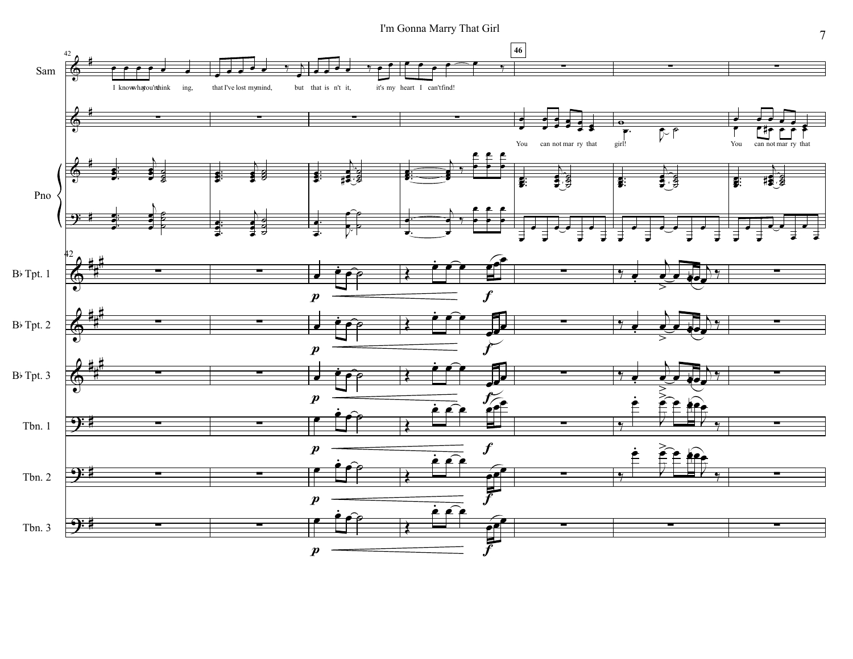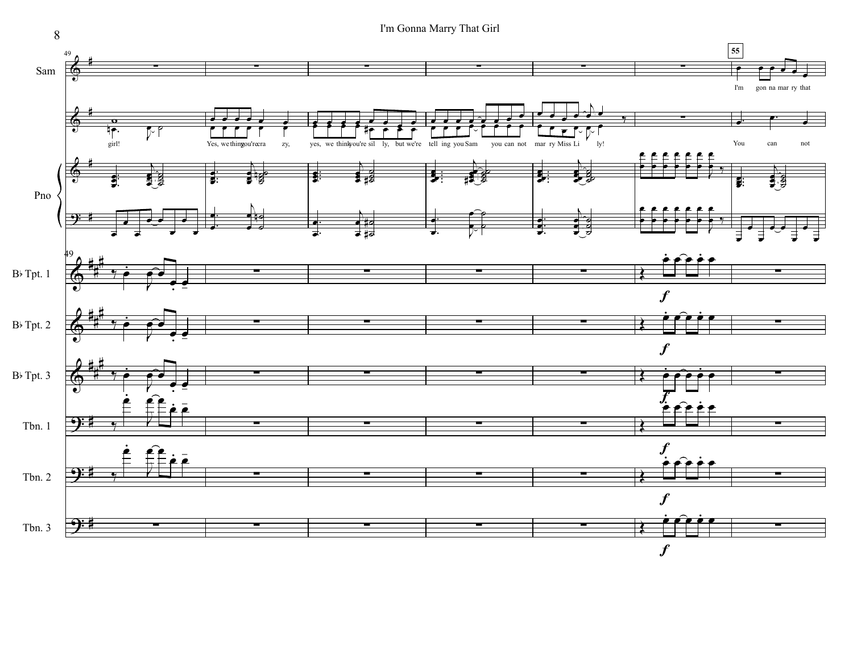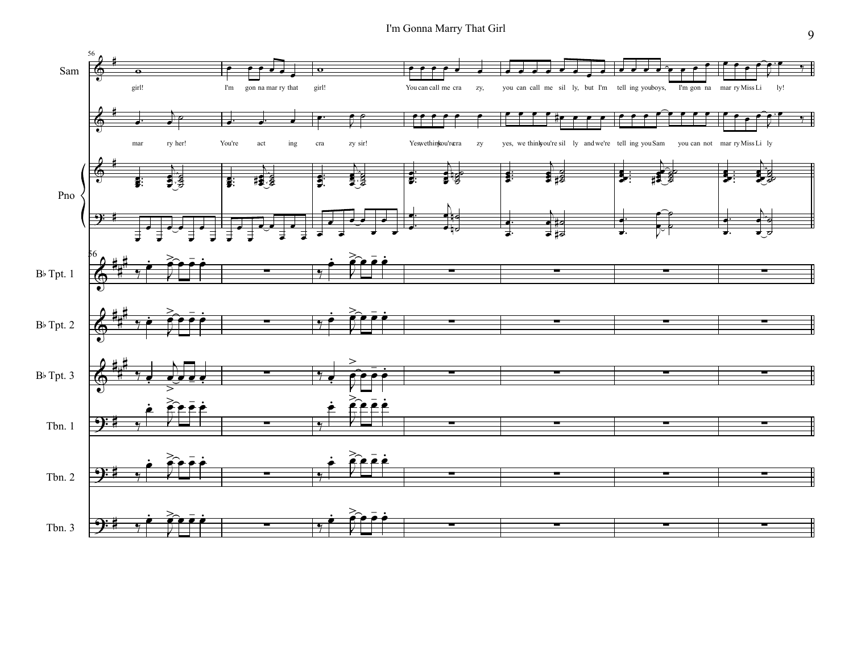I'm Gonna Marry That Girl

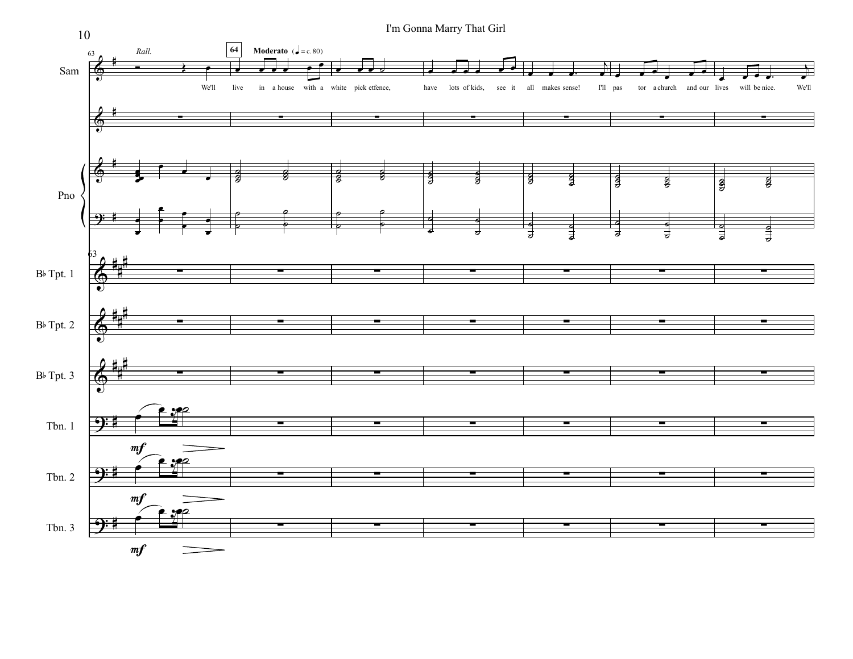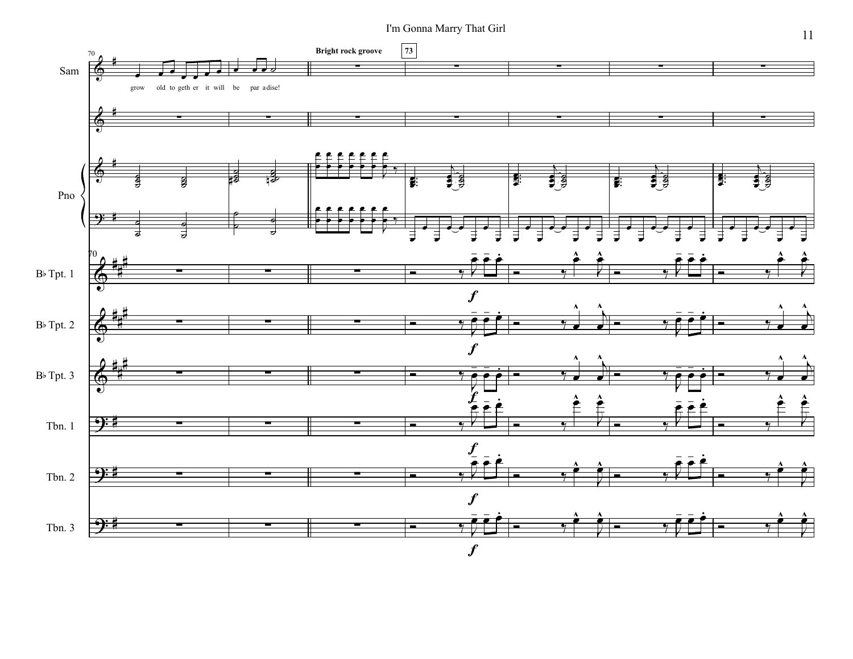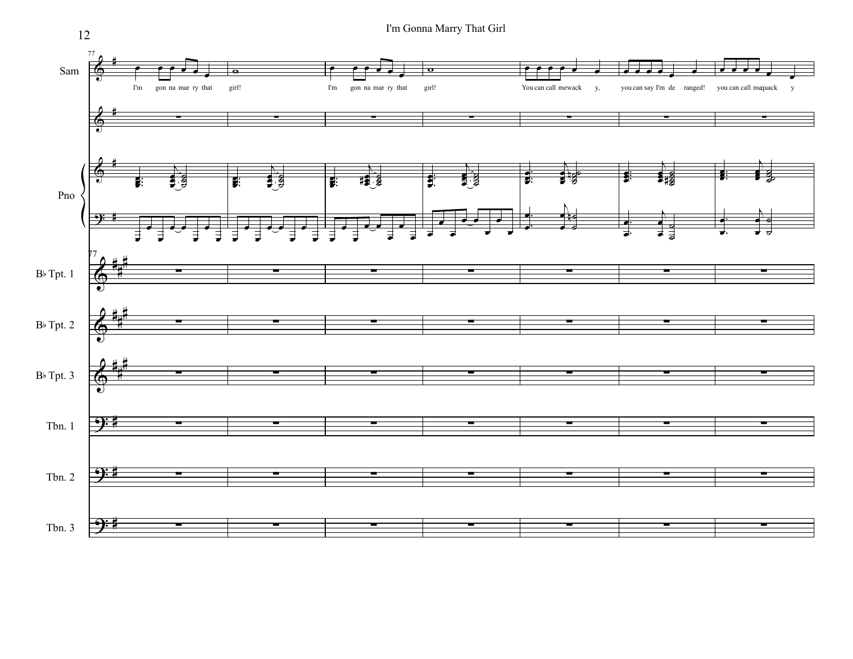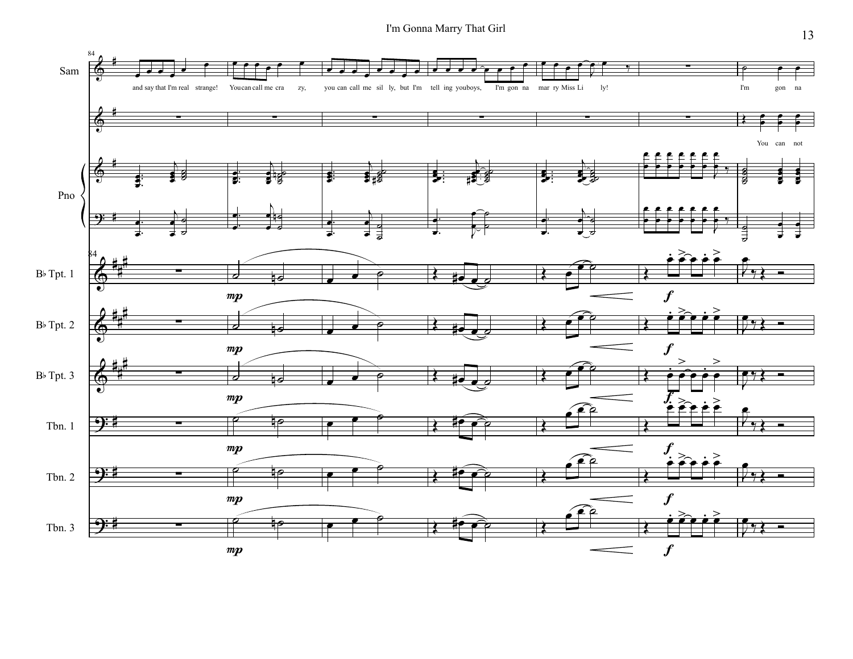